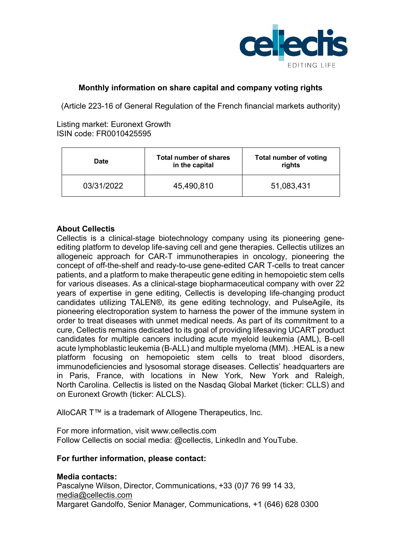

## **Monthly information on share capital and company voting rights**

(Article 223-16 of General Regulation of the French financial markets authority)

Listing market: Euronext Growth ISIN code: FR0010425595

| Date       | <b>Total number of shares</b><br>in the capital | <b>Total number of voting</b><br>rights |
|------------|-------------------------------------------------|-----------------------------------------|
| 03/31/2022 | 45,490,810                                      | 51,083,431                              |

## **About Cellectis**

Cellectis is a clinical-stage biotechnology company using its pioneering geneediting platform to develop life-saving cell and gene therapies. Cellectis utilizes an allogeneic approach for CAR-T immunotherapies in oncology, pioneering the concept of off-the-shelf and ready-to-use gene-edited CAR T-cells to treat cancer patients, and a platform to make therapeutic gene editing in hemopoietic stem cells for various diseases. As a clinical-stage biopharmaceutical company with over 22 years of expertise in gene editing, Cellectis is developing life-changing product candidates utilizing TALEN®, its gene editing technology, and PulseAgile, its pioneering electroporation system to harness the power of the immune system in order to treat diseases with unmet medical needs. As part of its commitment to a cure, Cellectis remains dedicated to its goal of providing lifesaving UCART product candidates for multiple cancers including acute myeloid leukemia (AML), B-cell acute lymphoblastic leukemia (B-ALL) and multiple myeloma (MM). .HEAL is a new platform focusing on hemopoietic stem cells to treat blood disorders, immunodeficiencies and lysosomal storage diseases. Cellectis' headquarters are in Paris, France, with locations in New York, New York and Raleigh, North Carolina. Cellectis is listed on the Nasdaq Global Market (ticker: CLLS) and on Euronext Growth (ticker: ALCLS).

AlloCAR T™ is a trademark of Allogene Therapeutics, Inc.

For more information, visit www.cellectis.com Follow Cellectis on social media: @cellectis, LinkedIn and YouTube.

# **For further information, please contact:**

## **Media contacts:**

Pascalyne Wilson, Director, Communications, +33 (0)7 76 99 14 33, media@cellectis.com Margaret Gandolfo, Senior Manager, Communications, +1 (646) 628 0300